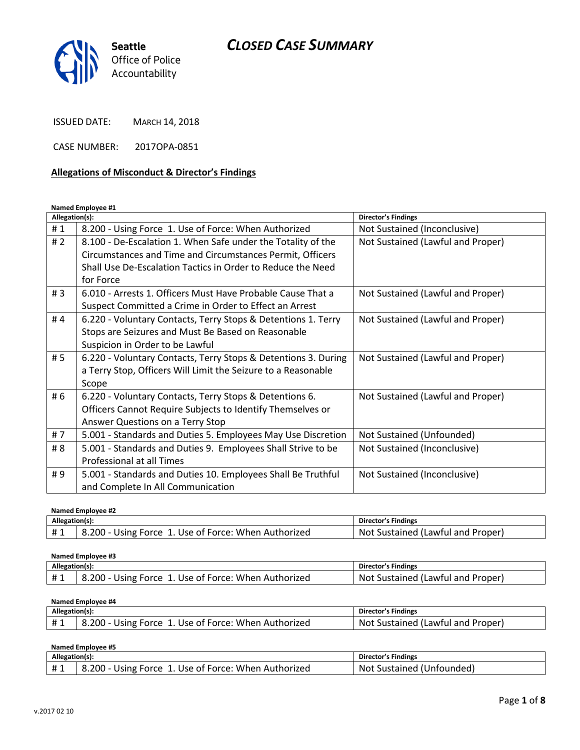

ISSUED DATE: MARCH 14, 2018

CASE NUMBER: 2017OPA-0851

#### **Allegations of Misconduct & Director's Findings**

**Named Employee #1**

| Allegation(s): |                                                                | <b>Director's Findings</b>        |
|----------------|----------------------------------------------------------------|-----------------------------------|
| #1             | 8.200 - Using Force 1. Use of Force: When Authorized           | Not Sustained (Inconclusive)      |
| #2             | 8.100 - De-Escalation 1. When Safe under the Totality of the   | Not Sustained (Lawful and Proper) |
|                | Circumstances and Time and Circumstances Permit, Officers      |                                   |
|                | Shall Use De-Escalation Tactics in Order to Reduce the Need    |                                   |
|                | for Force                                                      |                                   |
| #3             | 6.010 - Arrests 1. Officers Must Have Probable Cause That a    | Not Sustained (Lawful and Proper) |
|                | Suspect Committed a Crime in Order to Effect an Arrest         |                                   |
| #4             | 6.220 - Voluntary Contacts, Terry Stops & Detentions 1. Terry  | Not Sustained (Lawful and Proper) |
|                | Stops are Seizures and Must Be Based on Reasonable             |                                   |
|                | Suspicion in Order to be Lawful                                |                                   |
| # 5            | 6.220 - Voluntary Contacts, Terry Stops & Detentions 3. During | Not Sustained (Lawful and Proper) |
|                | a Terry Stop, Officers Will Limit the Seizure to a Reasonable  |                                   |
|                | Scope                                                          |                                   |
| # 6            | 6.220 - Voluntary Contacts, Terry Stops & Detentions 6.        | Not Sustained (Lawful and Proper) |
|                | Officers Cannot Require Subjects to Identify Themselves or     |                                   |
|                | Answer Questions on a Terry Stop                               |                                   |
| #7             | 5.001 - Standards and Duties 5. Employees May Use Discretion   | Not Sustained (Unfounded)         |
| # 8            | 5.001 - Standards and Duties 9. Employees Shall Strive to be   | Not Sustained (Inconclusive)      |
|                | Professional at all Times                                      |                                   |
| #9             | 5.001 - Standards and Duties 10. Employees Shall Be Truthful   | Not Sustained (Inconclusive)      |
|                | and Complete In All Communication                              |                                   |

| Named Employee #2 |                                                      |                                   |
|-------------------|------------------------------------------------------|-----------------------------------|
| Allegation(s):    |                                                      | Director's Findings               |
| #1                | 8.200 - Using Force 1. Use of Force: When Authorized | Not Sustained (Lawful and Proper) |

| Named Employee #3 |                                                      |                                   |
|-------------------|------------------------------------------------------|-----------------------------------|
| Allegation(s):    |                                                      | Director's Findings               |
| #1                | 8.200 - Using Force 1. Use of Force: When Authorized | Not Sustained (Lawful and Proper) |

**Named Employee #4**

| Allegation(s): |                                                      | <b>Director's Findings</b>        |
|----------------|------------------------------------------------------|-----------------------------------|
| #1             | 8.200 - Using Force 1. Use of Force: When Authorized | Not Sustained (Lawful and Proper) |

**Named Employee #5**

| Allegation(s): |                                                                 | <b>Director's Findings</b>       |
|----------------|-----------------------------------------------------------------|----------------------------------|
| $+$ $\sim$     | $8.200 - 7$<br>. Use of Force: When Authorized .<br>Using Force | . Sustained (Unfounded).<br>Not. |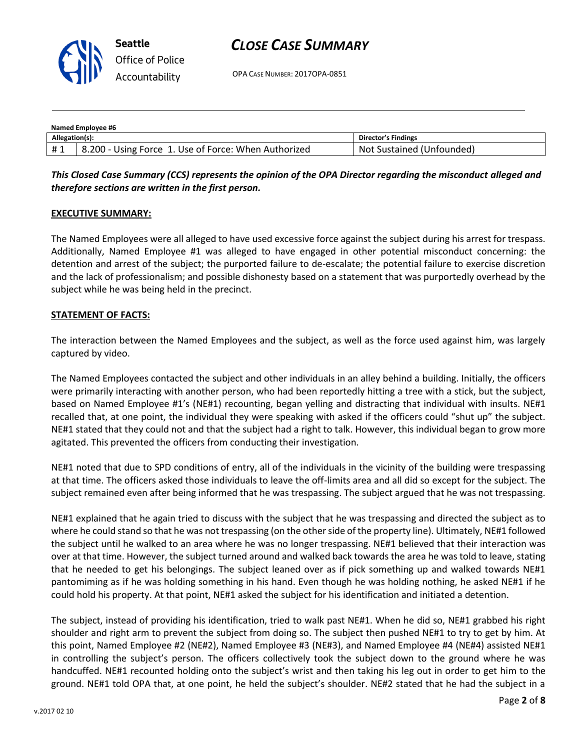

OPA CASE NUMBER: 2017OPA-0851

| Named Employee #6 |                                                      |                           |
|-------------------|------------------------------------------------------|---------------------------|
| Allegation(s):    |                                                      | Director's Findings       |
| #1                | 8.200 - Using Force 1. Use of Force: When Authorized | Not Sustained (Unfounded) |

## *This Closed Case Summary (CCS) represents the opinion of the OPA Director regarding the misconduct alleged and therefore sections are written in the first person.*

#### **EXECUTIVE SUMMARY:**

The Named Employees were all alleged to have used excessive force against the subject during his arrest for trespass. Additionally, Named Employee #1 was alleged to have engaged in other potential misconduct concerning: the detention and arrest of the subject; the purported failure to de-escalate; the potential failure to exercise discretion and the lack of professionalism; and possible dishonesty based on a statement that was purportedly overhead by the subject while he was being held in the precinct.

#### **STATEMENT OF FACTS:**

The interaction between the Named Employees and the subject, as well as the force used against him, was largely captured by video.

The Named Employees contacted the subject and other individuals in an alley behind a building. Initially, the officers were primarily interacting with another person, who had been reportedly hitting a tree with a stick, but the subject, based on Named Employee #1's (NE#1) recounting, began yelling and distracting that individual with insults. NE#1 recalled that, at one point, the individual they were speaking with asked if the officers could "shut up" the subject. NE#1 stated that they could not and that the subject had a right to talk. However, this individual began to grow more agitated. This prevented the officers from conducting their investigation.

NE#1 noted that due to SPD conditions of entry, all of the individuals in the vicinity of the building were trespassing at that time. The officers asked those individuals to leave the off-limits area and all did so except for the subject. The subject remained even after being informed that he was trespassing. The subject argued that he was not trespassing.

NE#1 explained that he again tried to discuss with the subject that he was trespassing and directed the subject as to where he could stand so that he was not trespassing (on the other side of the property line). Ultimately, NE#1 followed the subject until he walked to an area where he was no longer trespassing. NE#1 believed that their interaction was over at that time. However, the subject turned around and walked back towards the area he was told to leave, stating that he needed to get his belongings. The subject leaned over as if pick something up and walked towards NE#1 pantomiming as if he was holding something in his hand. Even though he was holding nothing, he asked NE#1 if he could hold his property. At that point, NE#1 asked the subject for his identification and initiated a detention.

The subject, instead of providing his identification, tried to walk past NE#1. When he did so, NE#1 grabbed his right shoulder and right arm to prevent the subject from doing so. The subject then pushed NE#1 to try to get by him. At this point, Named Employee #2 (NE#2), Named Employee #3 (NE#3), and Named Employee #4 (NE#4) assisted NE#1 in controlling the subject's person. The officers collectively took the subject down to the ground where he was handcuffed. NE#1 recounted holding onto the subject's wrist and then taking his leg out in order to get him to the ground. NE#1 told OPA that, at one point, he held the subject's shoulder. NE#2 stated that he had the subject in a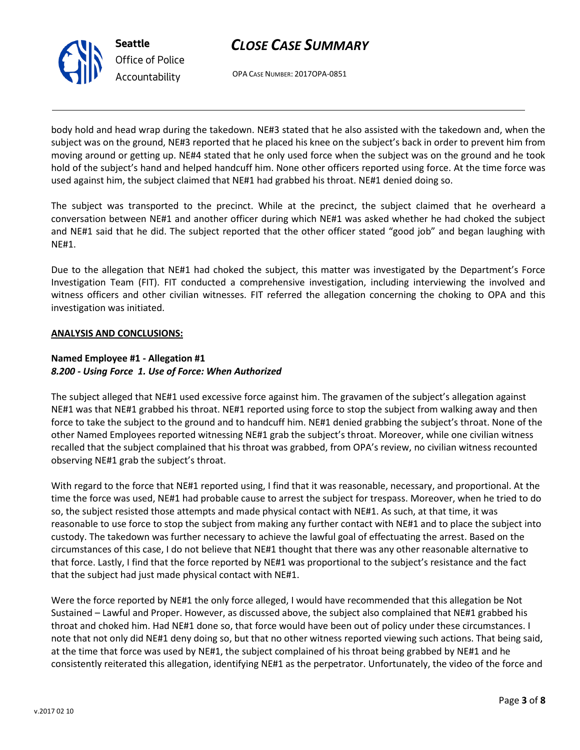

OPA CASE NUMBER: 2017OPA-0851

body hold and head wrap during the takedown. NE#3 stated that he also assisted with the takedown and, when the subject was on the ground, NE#3 reported that he placed his knee on the subject's back in order to prevent him from moving around or getting up. NE#4 stated that he only used force when the subject was on the ground and he took hold of the subject's hand and helped handcuff him. None other officers reported using force. At the time force was used against him, the subject claimed that NE#1 had grabbed his throat. NE#1 denied doing so.

The subject was transported to the precinct. While at the precinct, the subject claimed that he overheard a conversation between NE#1 and another officer during which NE#1 was asked whether he had choked the subject and NE#1 said that he did. The subject reported that the other officer stated "good job" and began laughing with NE#1.

Due to the allegation that NE#1 had choked the subject, this matter was investigated by the Department's Force Investigation Team (FIT). FIT conducted a comprehensive investigation, including interviewing the involved and witness officers and other civilian witnesses. FIT referred the allegation concerning the choking to OPA and this investigation was initiated.

## **ANALYSIS AND CONCLUSIONS:**

### **Named Employee #1 - Allegation #1** *8.200 - Using Force 1. Use of Force: When Authorized*

The subject alleged that NE#1 used excessive force against him. The gravamen of the subject's allegation against NE#1 was that NE#1 grabbed his throat. NE#1 reported using force to stop the subject from walking away and then force to take the subject to the ground and to handcuff him. NE#1 denied grabbing the subject's throat. None of the other Named Employees reported witnessing NE#1 grab the subject's throat. Moreover, while one civilian witness recalled that the subject complained that his throat was grabbed, from OPA's review, no civilian witness recounted observing NE#1 grab the subject's throat.

With regard to the force that NE#1 reported using, I find that it was reasonable, necessary, and proportional. At the time the force was used, NE#1 had probable cause to arrest the subject for trespass. Moreover, when he tried to do so, the subject resisted those attempts and made physical contact with NE#1. As such, at that time, it was reasonable to use force to stop the subject from making any further contact with NE#1 and to place the subject into custody. The takedown was further necessary to achieve the lawful goal of effectuating the arrest. Based on the circumstances of this case, I do not believe that NE#1 thought that there was any other reasonable alternative to that force. Lastly, I find that the force reported by NE#1 was proportional to the subject's resistance and the fact that the subject had just made physical contact with NE#1.

Were the force reported by NE#1 the only force alleged, I would have recommended that this allegation be Not Sustained – Lawful and Proper. However, as discussed above, the subject also complained that NE#1 grabbed his throat and choked him. Had NE#1 done so, that force would have been out of policy under these circumstances. I note that not only did NE#1 deny doing so, but that no other witness reported viewing such actions. That being said, at the time that force was used by NE#1, the subject complained of his throat being grabbed by NE#1 and he consistently reiterated this allegation, identifying NE#1 as the perpetrator. Unfortunately, the video of the force and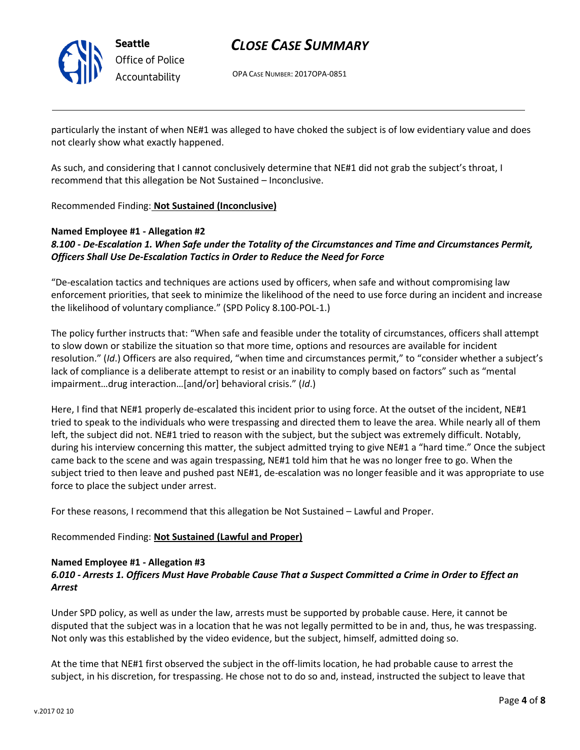

OPA CASE NUMBER: 2017OPA-0851

particularly the instant of when NE#1 was alleged to have choked the subject is of low evidentiary value and does not clearly show what exactly happened.

As such, and considering that I cannot conclusively determine that NE#1 did not grab the subject's throat, I recommend that this allegation be Not Sustained – Inconclusive.

Recommended Finding: **Not Sustained (Inconclusive)**

#### **Named Employee #1 - Allegation #2** *8.100 - De-Escalation 1. When Safe under the Totality of the Circumstances and Time and Circumstances Permit, Officers Shall Use De-Escalation Tactics in Order to Reduce the Need for Force*

"De-escalation tactics and techniques are actions used by officers, when safe and without compromising law enforcement priorities, that seek to minimize the likelihood of the need to use force during an incident and increase the likelihood of voluntary compliance." (SPD Policy 8.100-POL-1.)

The policy further instructs that: "When safe and feasible under the totality of circumstances, officers shall attempt to slow down or stabilize the situation so that more time, options and resources are available for incident resolution." (*Id*.) Officers are also required, "when time and circumstances permit," to "consider whether a subject's lack of compliance is a deliberate attempt to resist or an inability to comply based on factors" such as "mental impairment…drug interaction…[and/or] behavioral crisis." (*Id*.)

Here, I find that NE#1 properly de-escalated this incident prior to using force. At the outset of the incident, NE#1 tried to speak to the individuals who were trespassing and directed them to leave the area. While nearly all of them left, the subject did not. NE#1 tried to reason with the subject, but the subject was extremely difficult. Notably, during his interview concerning this matter, the subject admitted trying to give NE#1 a "hard time." Once the subject came back to the scene and was again trespassing, NE#1 told him that he was no longer free to go. When the subject tried to then leave and pushed past NE#1, de-escalation was no longer feasible and it was appropriate to use force to place the subject under arrest.

For these reasons, I recommend that this allegation be Not Sustained – Lawful and Proper.

## Recommended Finding: **Not Sustained (Lawful and Proper)**

#### **Named Employee #1 - Allegation #3**

## *6.010 - Arrests 1. Officers Must Have Probable Cause That a Suspect Committed a Crime in Order to Effect an Arrest*

Under SPD policy, as well as under the law, arrests must be supported by probable cause. Here, it cannot be disputed that the subject was in a location that he was not legally permitted to be in and, thus, he was trespassing. Not only was this established by the video evidence, but the subject, himself, admitted doing so.

At the time that NE#1 first observed the subject in the off-limits location, he had probable cause to arrest the subject, in his discretion, for trespassing. He chose not to do so and, instead, instructed the subject to leave that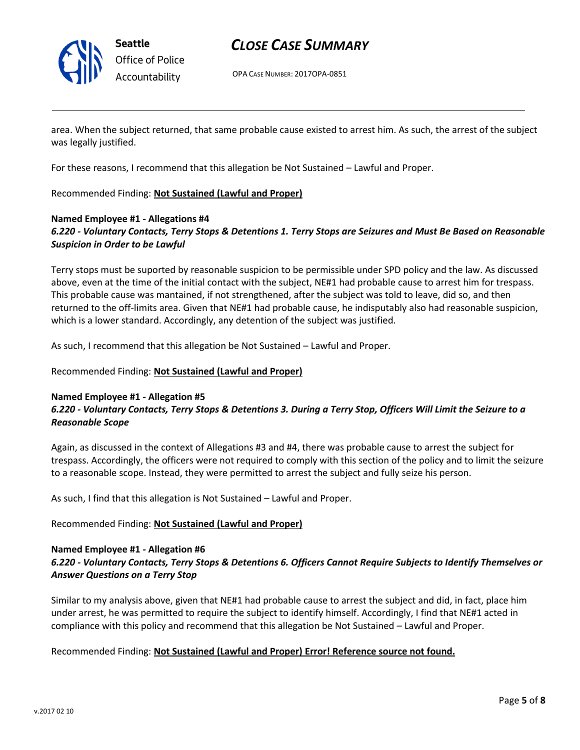

OPA CASE NUMBER: 2017OPA-0851

area. When the subject returned, that same probable cause existed to arrest him. As such, the arrest of the subject was legally justified.

For these reasons, I recommend that this allegation be Not Sustained – Lawful and Proper.

## Recommended Finding: **Not Sustained (Lawful and Proper)**

#### **Named Employee #1 - Allegations #4** *6.220 - Voluntary Contacts, Terry Stops & Detentions 1. Terry Stops are Seizures and Must Be Based on Reasonable Suspicion in Order to be Lawful*

Terry stops must be suported by reasonable suspicion to be permissible under SPD policy and the law. As discussed above, even at the time of the initial contact with the subject, NE#1 had probable cause to arrest him for trespass. This probable cause was mantained, if not strengthened, after the subject was told to leave, did so, and then returned to the off-limits area. Given that NE#1 had probable cause, he indisputably also had reasonable suspicion, which is a lower standard. Accordingly, any detention of the subject was justified.

As such, I recommend that this allegation be Not Sustained – Lawful and Proper.

#### Recommended Finding: **Not Sustained (Lawful and Proper)**

#### **Named Employee #1 - Allegation #5**

## *6.220 - Voluntary Contacts, Terry Stops & Detentions 3. During a Terry Stop, Officers Will Limit the Seizure to a Reasonable Scope*

Again, as discussed in the context of Allegations #3 and #4, there was probable cause to arrest the subject for trespass. Accordingly, the officers were not required to comply with this section of the policy and to limit the seizure to a reasonable scope. Instead, they were permitted to arrest the subject and fully seize his person.

As such, I find that this allegation is Not Sustained – Lawful and Proper.

#### Recommended Finding: **Not Sustained (Lawful and Proper)**

#### **Named Employee #1 - Allegation #6**

## *6.220 - Voluntary Contacts, Terry Stops & Detentions 6. Officers Cannot Require Subjects to Identify Themselves or Answer Questions on a Terry Stop*

Similar to my analysis above, given that NE#1 had probable cause to arrest the subject and did, in fact, place him under arrest, he was permitted to require the subject to identify himself. Accordingly, I find that NE#1 acted in compliance with this policy and recommend that this allegation be Not Sustained – Lawful and Proper.

#### Recommended Finding: **Not Sustained (Lawful and Proper) Error! Reference source not found.**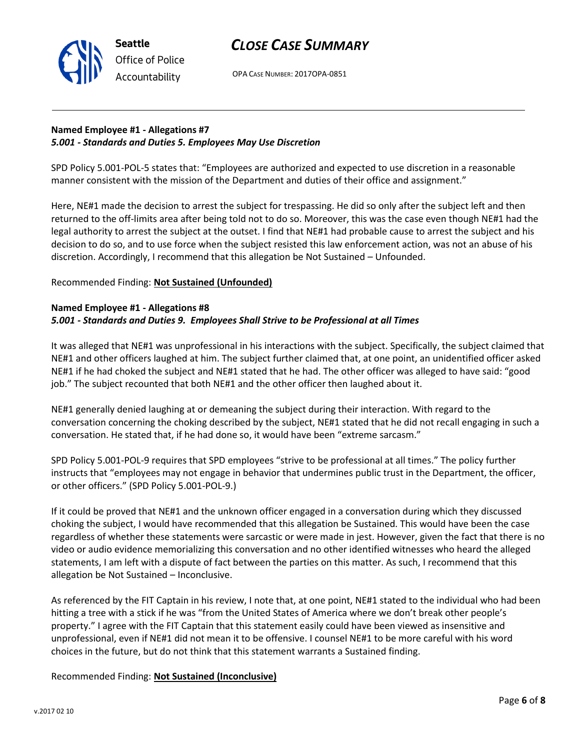



OPA CASE NUMBER: 2017OPA-0851

## **Named Employee #1 - Allegations #7** *5.001 - Standards and Duties 5. Employees May Use Discretion*

SPD Policy 5.001-POL-5 states that: "Employees are authorized and expected to use discretion in a reasonable manner consistent with the mission of the Department and duties of their office and assignment."

Here, NE#1 made the decision to arrest the subject for trespassing. He did so only after the subject left and then returned to the off-limits area after being told not to do so. Moreover, this was the case even though NE#1 had the legal authority to arrest the subject at the outset. I find that NE#1 had probable cause to arrest the subject and his decision to do so, and to use force when the subject resisted this law enforcement action, was not an abuse of his discretion. Accordingly, I recommend that this allegation be Not Sustained – Unfounded.

## Recommended Finding: **Not Sustained (Unfounded)**

### **Named Employee #1 - Allegations #8** *5.001 - Standards and Duties 9. Employees Shall Strive to be Professional at all Times*

It was alleged that NE#1 was unprofessional in his interactions with the subject. Specifically, the subject claimed that NE#1 and other officers laughed at him. The subject further claimed that, at one point, an unidentified officer asked NE#1 if he had choked the subject and NE#1 stated that he had. The other officer was alleged to have said: "good job." The subject recounted that both NE#1 and the other officer then laughed about it.

NE#1 generally denied laughing at or demeaning the subject during their interaction. With regard to the conversation concerning the choking described by the subject, NE#1 stated that he did not recall engaging in such a conversation. He stated that, if he had done so, it would have been "extreme sarcasm."

SPD Policy 5.001-POL-9 requires that SPD employees "strive to be professional at all times." The policy further instructs that "employees may not engage in behavior that undermines public trust in the Department, the officer, or other officers." (SPD Policy 5.001-POL-9.)

If it could be proved that NE#1 and the unknown officer engaged in a conversation during which they discussed choking the subject, I would have recommended that this allegation be Sustained. This would have been the case regardless of whether these statements were sarcastic or were made in jest. However, given the fact that there is no video or audio evidence memorializing this conversation and no other identified witnesses who heard the alleged statements, I am left with a dispute of fact between the parties on this matter. As such, I recommend that this allegation be Not Sustained – Inconclusive.

As referenced by the FIT Captain in his review, I note that, at one point, NE#1 stated to the individual who had been hitting a tree with a stick if he was "from the United States of America where we don't break other people's property." I agree with the FIT Captain that this statement easily could have been viewed as insensitive and unprofessional, even if NE#1 did not mean it to be offensive. I counsel NE#1 to be more careful with his word choices in the future, but do not think that this statement warrants a Sustained finding.

## Recommended Finding: **Not Sustained (Inconclusive)**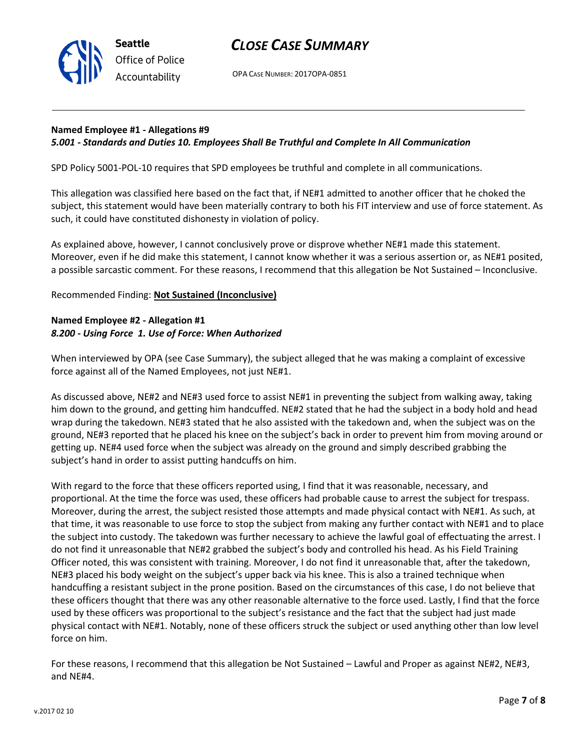

OPA CASE NUMBER: 2017OPA-0851

#### **Named Employee #1 - Allegations #9** *5.001 - Standards and Duties 10. Employees Shall Be Truthful and Complete In All Communication*

SPD Policy 5001-POL-10 requires that SPD employees be truthful and complete in all communications.

This allegation was classified here based on the fact that, if NE#1 admitted to another officer that he choked the subject, this statement would have been materially contrary to both his FIT interview and use of force statement. As such, it could have constituted dishonesty in violation of policy.

As explained above, however, I cannot conclusively prove or disprove whether NE#1 made this statement. Moreover, even if he did make this statement, I cannot know whether it was a serious assertion or, as NE#1 posited, a possible sarcastic comment. For these reasons, I recommend that this allegation be Not Sustained – Inconclusive.

## Recommended Finding: **Not Sustained (Inconclusive)**

## **Named Employee #2 - Allegation #1** *8.200 - Using Force 1. Use of Force: When Authorized*

When interviewed by OPA (see Case Summary), the subject alleged that he was making a complaint of excessive force against all of the Named Employees, not just NE#1.

As discussed above, NE#2 and NE#3 used force to assist NE#1 in preventing the subject from walking away, taking him down to the ground, and getting him handcuffed. NE#2 stated that he had the subject in a body hold and head wrap during the takedown. NE#3 stated that he also assisted with the takedown and, when the subject was on the ground, NE#3 reported that he placed his knee on the subject's back in order to prevent him from moving around or getting up. NE#4 used force when the subject was already on the ground and simply described grabbing the subject's hand in order to assist putting handcuffs on him.

With regard to the force that these officers reported using, I find that it was reasonable, necessary, and proportional. At the time the force was used, these officers had probable cause to arrest the subject for trespass. Moreover, during the arrest, the subject resisted those attempts and made physical contact with NE#1. As such, at that time, it was reasonable to use force to stop the subject from making any further contact with NE#1 and to place the subject into custody. The takedown was further necessary to achieve the lawful goal of effectuating the arrest. I do not find it unreasonable that NE#2 grabbed the subject's body and controlled his head. As his Field Training Officer noted, this was consistent with training. Moreover, I do not find it unreasonable that, after the takedown, NE#3 placed his body weight on the subject's upper back via his knee. This is also a trained technique when handcuffing a resistant subject in the prone position. Based on the circumstances of this case, I do not believe that these officers thought that there was any other reasonable alternative to the force used. Lastly, I find that the force used by these officers was proportional to the subject's resistance and the fact that the subject had just made physical contact with NE#1. Notably, none of these officers struck the subject or used anything other than low level force on him.

For these reasons, I recommend that this allegation be Not Sustained – Lawful and Proper as against NE#2, NE#3, and NE#4.